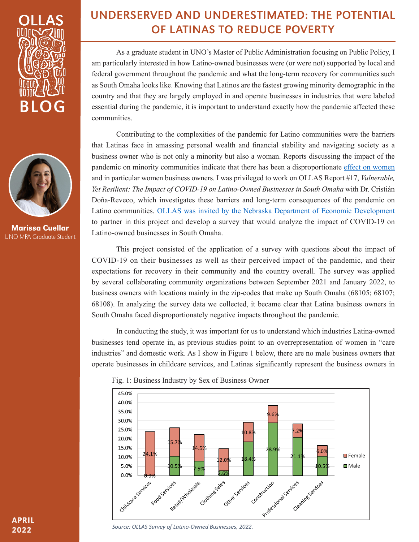



Marissa Cuellar UNO MPA Graduate Student

## UNDERSERVED AND UNDERESTIMATED: THE POTENTIAL OF LATINAS TO REDUCE POVERTY

As a graduate student in UNO's Master of Public Administration focusing on Public Policy, I am particularly interested in how Latino-owned businesses were (or were not) supported by local and federal government throughout the pandemic and what the long-term recovery for communities such as South Omaha looks like. Knowing that Latinos are the fastest growing minority demographic in the country and that they are largely employed in and operate businesses in industries that were labeled essential during the pandemic, it is important to understand exactly how the pandemic affected these communities.

Contributing to the complexities of the pandemic for Latino communities were the barriers that Latinas face in amassing personal wealth and financial stability and navigating society as a business owner who is not only a minority but also a woman. Reports discussing the impact of the pandemic on minority communities indicate that there has been a disproportionate effect on women and in particular women business owners. I was privileged to work on OLLAS Report #17, *Vulnerable, Yet Resilient: The Impact of COVID-19 on Latino-Owned Businesses in South Omaha* with Dr. Cristián Doña-Reveco, which investigates these barriers and long-term consequences of the pandemic on Latino communities. OLLAS was invited by the Nebraska Department of Economic Development to partner in this project and develop a survey that would analyze the impact of COVID-19 on Latino-owned businesses in South Omaha.

This project consisted of the application of a survey with questions about the impact of COVID-19 on their businesses as well as their perceived impact of the pandemic, and their expectations for recovery in their community and the country overall. The survey was applied by several collaborating community organizations between September 2021 and January 2022, to business owners with locations mainly in the zip-codes that make up South Omaha (68105; 68107; 68108). In analyzing the survey data we collected, it became clear that Latina business owners in South Omaha faced disproportionately negative impacts throughout the pandemic.

In conducting the study, it was important for us to understand which industries Latina-owned businesses tend operate in, as previous studies point to an overrepresentation of women in "care industries" and domestic work. As I show in Figure 1 below, there are no male business owners that operate businesses in childcare services, and Latinas significantly represent the business owners in





*Source: OLLAS Survey of Latino-Owned Businesses, 2022.*